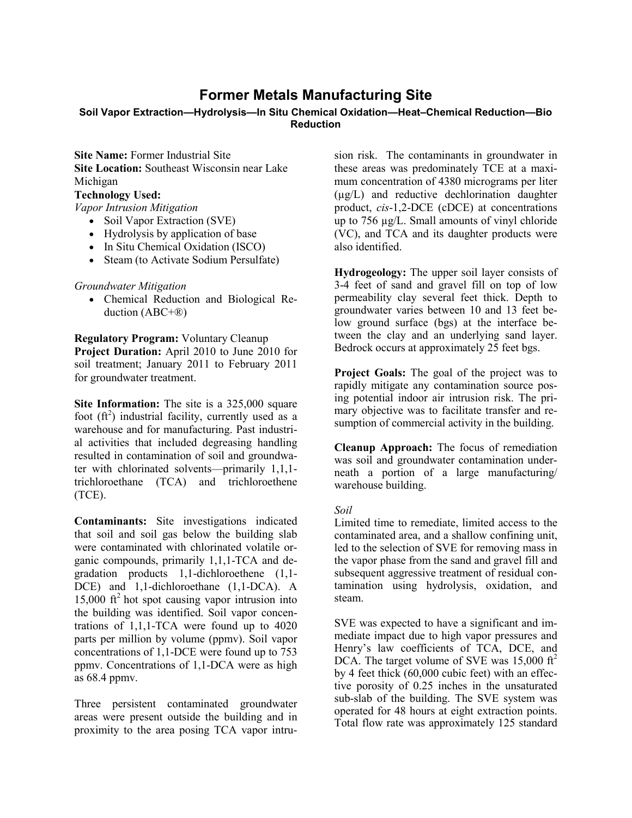# **Former Metals Manufacturing Site**

#### **Soil Vapor Extraction—Hydrolysis—In Situ Chemical Oxidation—Heat–Chemical Reduction—Bio Reduction**

**Site Name: Former Industrial Site Site Location:** Southeast Wisconsin near Lake Michigan

# **Technology Used:**

*Vapor Intrusion Mitigation* 

- Soil Vapor Extraction (SVE)
- Hydrolysis by application of base
- In Situ Chemical Oxidation (ISCO)
- Steam (to Activate Sodium Persulfate)

## *Groundwater Mitigation*

• Chemical Reduction and Biological Reduction (ABC+®)

**Regulatory Program:** Voluntary Cleanup

**Project Duration:** April 2010 to June 2010 for soil treatment; January 2011 to February 2011 for groundwater treatment.

**Site Information:** The site is a 325,000 square foot  $(ft^2)$  industrial facility, currently used as a warehouse and for manufacturing. Past industrial activities that included degreasing handling resulted in contamination of soil and groundwater with chlorinated solvents—primarily 1,1,1 trichloroethane (TCA) and trichloroethene (TCE).

**Contaminants:** Site investigations indicated that soil and soil gas below the building slab were contaminated with chlorinated volatile organic compounds, primarily 1,1,1-TCA and degradation products 1,1-dichloroethene (1,1- DCE) and 1,1-dichloroethane (1,1-DCA). A  $15,000$  ft<sup>2</sup> hot spot causing vapor intrusion into the building was identified. Soil vapor concentrations of 1,1,1-TCA were found up to 4020 parts per million by volume (ppmv). Soil vapor concentrations of 1,1-DCE were found up to 753 ppmv. Concentrations of 1,1-DCA were as high as 68.4 ppmv.

Three persistent contaminated groundwater areas were present outside the building and in proximity to the area posing TCA vapor intru-

sion risk. The contaminants in groundwater in these areas was predominately TCE at a maximum concentration of 4380 micrograms per liter (µg/L) and reductive dechlorination daughter product, *cis*-1,2-DCE (cDCE) at concentrations up to 756 µg/L. Small amounts of vinyl chloride (VC), and TCA and its daughter products were also identified.

**Hydrogeology:** The upper soil layer consists of 3-4 feet of sand and gravel fill on top of low permeability clay several feet thick. Depth to groundwater varies between 10 and 13 feet below ground surface (bgs) at the interface between the clay and an underlying sand layer. Bedrock occurs at approximately 25 feet bgs.

**Project Goals:** The goal of the project was to rapidly mitigate any contamination source posing potential indoor air intrusion risk. The primary objective was to facilitate transfer and resumption of commercial activity in the building.

**Cleanup Approach:** The focus of remediation was soil and groundwater contamination underneath a portion of a large manufacturing/ warehouse building.

## *Soil*

Limited time to remediate, limited access to the contaminated area, and a shallow confining unit, led to the selection of SVE for removing mass in the vapor phase from the sand and gravel fill and subsequent aggressive treatment of residual contamination using hydrolysis, oxidation, and steam.

SVE was expected to have a significant and immediate impact due to high vapor pressures and Henry's law coefficients of TCA, DCE, and DCA. The target volume of SVE was  $15,000 \text{ ft}^2$ by 4 feet thick (60,000 cubic feet) with an effective porosity of 0.25 inches in the unsaturated sub-slab of the building. The SVE system was operated for 48 hours at eight extraction points. Total flow rate was approximately 125 standard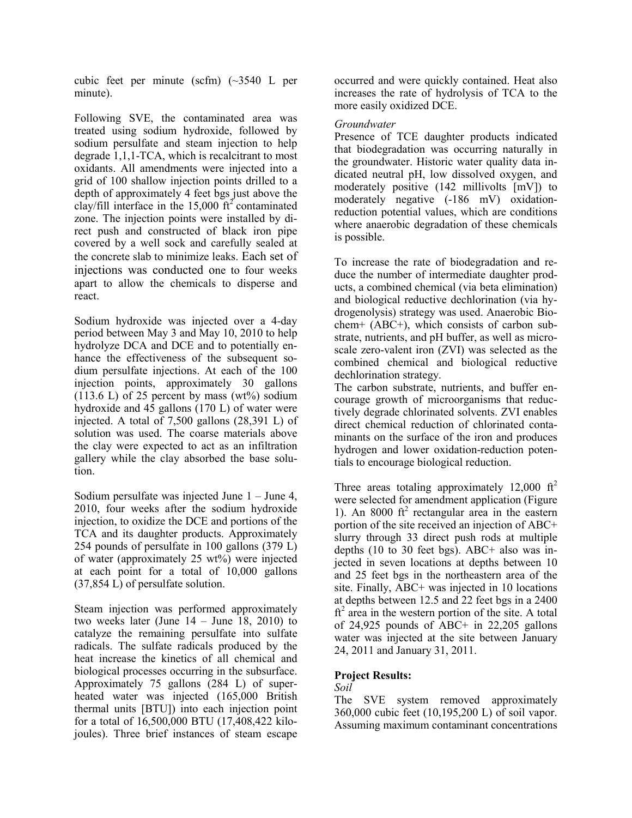cubic feet per minute (scfm) (~3540 L per minute).

Following SVE, the contaminated area was treated using sodium hydroxide, followed by sodium persulfate and steam injection to help degrade 1,1,1-TCA, which is recalcitrant to most oxidants. All amendments were injected into a grid of 100 shallow injection points drilled to a depth of approximately 4 feet bgs just above the clay/fill interface in the  $15,000$  ft<sup>2</sup> contaminated zone. The injection points were installed by direct push and constructed of black iron pipe covered by a well sock and carefully sealed at the concrete slab to minimize leaks. Each set of injections was conducted one to four weeks apart to allow the chemicals to disperse and react.

Sodium hydroxide was injected over a 4-day period between May 3 and May 10, 2010 to help hydrolyze DCA and DCE and to potentially enhance the effectiveness of the subsequent sodium persulfate injections. At each of the 100 injection points, approximately 30 gallons  $(113.6 \text{ L})$  of 25 percent by mass  $(wt\%)$  sodium hydroxide and 45 gallons (170 L) of water were injected. A total of 7,500 gallons (28,391 L) of solution was used. The coarse materials above the clay were expected to act as an infiltration gallery while the clay absorbed the base solution.

Sodium persulfate was injected June 1 – June 4, 2010, four weeks after the sodium hydroxide injection, to oxidize the DCE and portions of the TCA and its daughter products. Approximately 254 pounds of persulfate in 100 gallons (379 L) of water (approximately 25 wt%) were injected at each point for a total of 10,000 gallons (37,854 L) of persulfate solution.

Steam injection was performed approximately two weeks later (June  $14 -$  June 18, 2010) to catalyze the remaining persulfate into sulfate radicals. The sulfate radicals produced by the heat increase the kinetics of all chemical and biological processes occurring in the subsurface. Approximately 75 gallons (284 L) of superheated water was injected (165,000 British thermal units [BTU]) into each injection point for a total of 16,500,000 BTU (17,408,422 kilojoules). Three brief instances of steam escape

occurred and were quickly contained. Heat also increases the rate of hydrolysis of TCA to the more easily oxidized DCE.

#### *Groundwater*

Presence of TCE daughter products indicated that biodegradation was occurring naturally in the groundwater. Historic water quality data indicated neutral pH, low dissolved oxygen, and moderately positive (142 millivolts [mV]) to moderately negative (-186 mV) oxidationreduction potential values, which are conditions where anaerobic degradation of these chemicals is possible.

To increase the rate of biodegradation and reduce the number of intermediate daughter products, a combined chemical (via beta elimination) and biological reductive dechlorination (via hydrogenolysis) strategy was used. Anaerobic Biochem+ (ABC+), which consists of carbon substrate, nutrients, and pH buffer, as well as microscale zero-valent iron (ZVI) was selected as the combined chemical and biological reductive dechlorination strategy.

The carbon substrate, nutrients, and buffer encourage growth of microorganisms that reductively degrade chlorinated solvents. ZVI enables direct chemical reduction of chlorinated contaminants on the surface of the iron and produces hydrogen and lower oxidation-reduction potentials to encourage biological reduction.

Three areas totaling approximately 12,000  $\text{ft}^2$ were selected for amendment application (Figure 1). An  $8000 \text{ ft}^2$  rectangular area in the eastern portion of the site received an injection of ABC+ slurry through 33 direct push rods at multiple depths (10 to 30 feet bgs). ABC+ also was injected in seven locations at depths between 10 and 25 feet bgs in the northeastern area of the site. Finally, ABC+ was injected in 10 locations at depths between 12.5 and 22 feet bgs in a 2400  $ft<sup>2</sup>$  area in the western portion of the site. A total of 24,925 pounds of ABC+ in 22,205 gallons water was injected at the site between January 24, 2011 and January 31, 2011.

## **Project Results:**

## *Soil*

The SVE system removed approximately 360,000 cubic feet (10,195,200 L) of soil vapor. Assuming maximum contaminant concentrations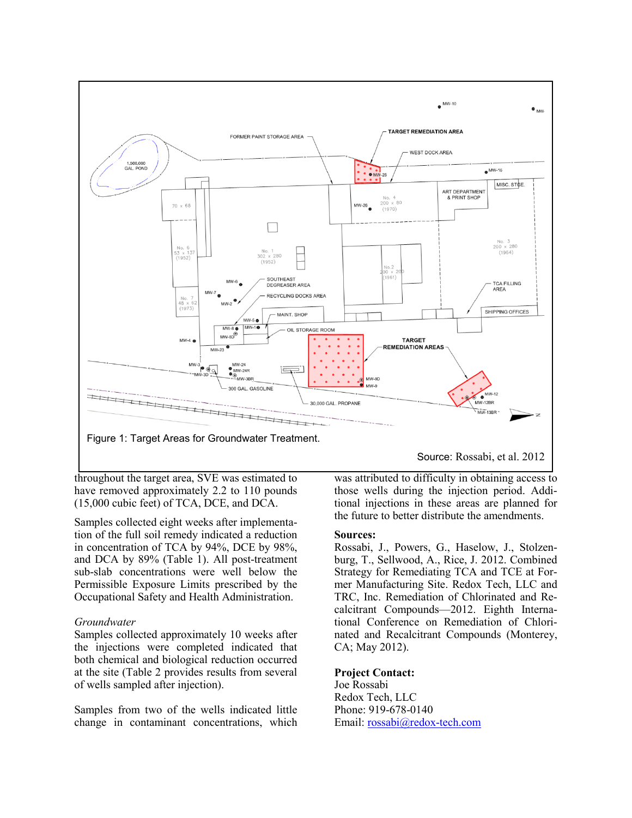

throughout the target area, SVE was estimated to have removed approximately 2.2 to 110 pounds (15,000 cubic feet) of TCA, DCE, and DCA.

Samples collected eight weeks after implementation of the full soil remedy indicated a reduction in concentration of TCA by 94%, DCE by 98%, and DCA by 89% (Table 1). All post-treatment sub-slab concentrations were well below the Permissible Exposure Limits prescribed by the Occupational Safety and Health Administration.

#### *Groundwater*

Samples collected approximately 10 weeks after the injections were completed indicated that both chemical and biological reduction occurred at the site (Table 2 provides results from several of wells sampled after injection).

Samples from two of the wells indicated little change in contaminant concentrations, which Source: Rossabi, et al. 2012

was attributed to difficulty in obtaining access to those wells during the injection period. Additional injections in these areas are planned for the future to better distribute the amendments.

#### **Sources:**

Rossabi, J., Powers, G., Haselow, J., Stolzenburg, T., Sellwood, A., Rice, J. 2012. Combined Strategy for Remediating TCA and TCE at Former Manufacturing Site. Redox Tech, LLC and TRC, Inc. Remediation of Chlorinated and Recalcitrant Compounds—2012. Eighth International Conference on Remediation of Chlorinated and Recalcitrant Compounds (Monterey, CA; May 2012).

#### **Project Contact:**

Joe Rossabi Redox Tech, LLC Phone: 919-678-0140 Email: [rossabi@redox-tech.com](mailto:rossabi@redox-tech.com)